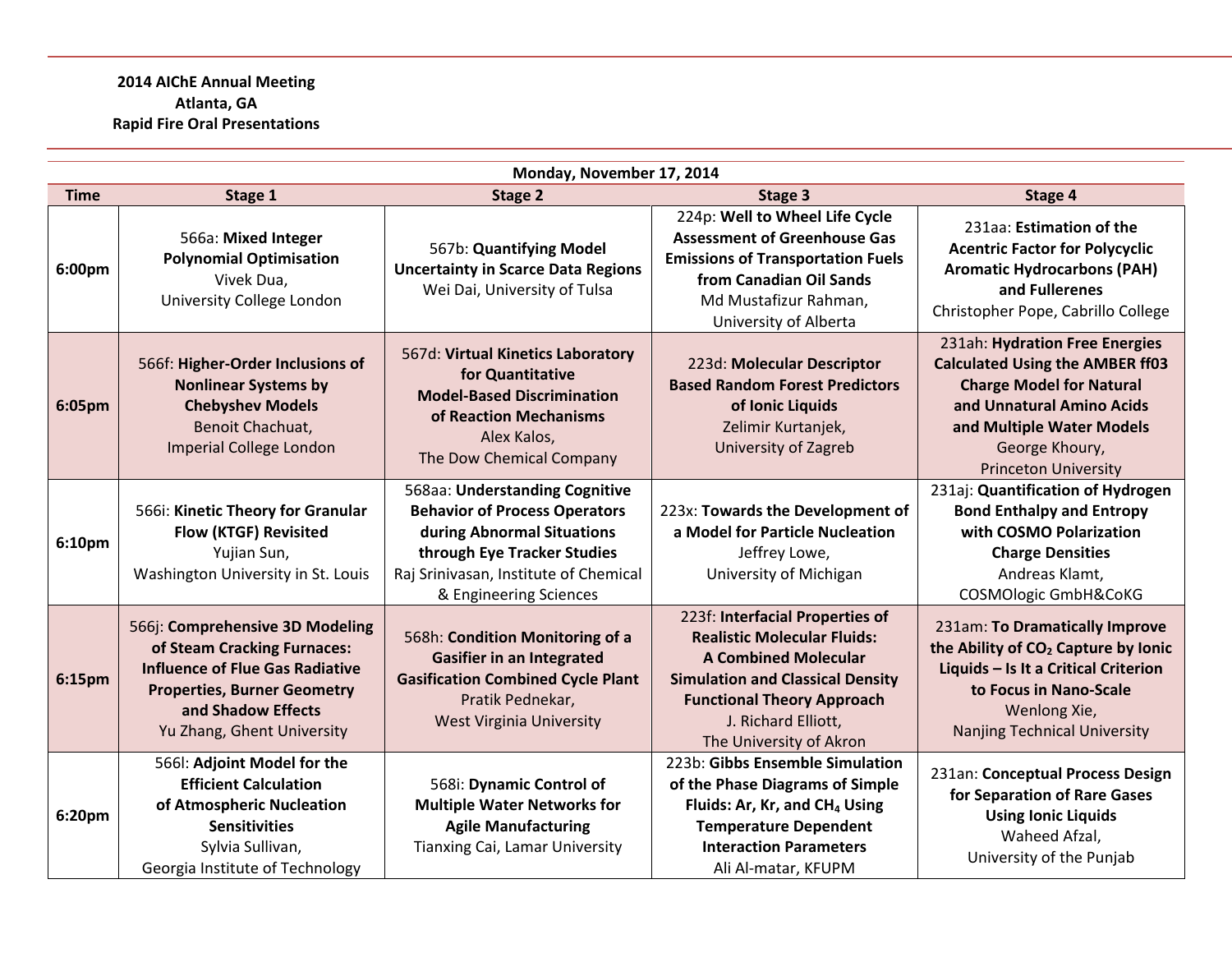## **2014 AIChE Annual Meeting Atlanta, GA Rapid Fire Oral Presentations**

| Monday, November 17, 2014 |                                                                                                                                                                                                    |                                                                                                                                                                                                        |                                                                                                                                                                                                                                        |                                                                                                                                                                                                                        |
|---------------------------|----------------------------------------------------------------------------------------------------------------------------------------------------------------------------------------------------|--------------------------------------------------------------------------------------------------------------------------------------------------------------------------------------------------------|----------------------------------------------------------------------------------------------------------------------------------------------------------------------------------------------------------------------------------------|------------------------------------------------------------------------------------------------------------------------------------------------------------------------------------------------------------------------|
| <b>Time</b>               | Stage 1                                                                                                                                                                                            | <b>Stage 2</b>                                                                                                                                                                                         | Stage 3                                                                                                                                                                                                                                | Stage 4                                                                                                                                                                                                                |
| 6:00pm                    | 566a: Mixed Integer<br><b>Polynomial Optimisation</b><br>Vivek Dua,<br>University College London                                                                                                   | 567b: Quantifying Model<br><b>Uncertainty in Scarce Data Regions</b><br>Wei Dai, University of Tulsa                                                                                                   | 224p: Well to Wheel Life Cycle<br><b>Assessment of Greenhouse Gas</b><br><b>Emissions of Transportation Fuels</b><br>from Canadian Oil Sands<br>Md Mustafizur Rahman,<br>University of Alberta                                         | 231aa: Estimation of the<br><b>Acentric Factor for Polycyclic</b><br><b>Aromatic Hydrocarbons (PAH)</b><br>and Fullerenes<br>Christopher Pope, Cabrillo College                                                        |
| 6:05pm                    | 566f: Higher-Order Inclusions of<br><b>Nonlinear Systems by</b><br><b>Chebyshev Models</b><br>Benoit Chachuat,<br><b>Imperial College London</b>                                                   | 567d: Virtual Kinetics Laboratory<br>for Quantitative<br><b>Model-Based Discrimination</b><br>of Reaction Mechanisms<br>Alex Kalos,<br>The Dow Chemical Company                                        | 223d: Molecular Descriptor<br><b>Based Random Forest Predictors</b><br>of Ionic Liquids<br>Zelimir Kurtanjek,<br><b>University of Zagreb</b>                                                                                           | 231ah: Hydration Free Energies<br><b>Calculated Using the AMBER ff03</b><br><b>Charge Model for Natural</b><br>and Unnatural Amino Acids<br>and Multiple Water Models<br>George Khoury,<br><b>Princeton University</b> |
| 6:10pm                    | 566i: Kinetic Theory for Granular<br>Flow (KTGF) Revisited<br>Yujian Sun,<br>Washington University in St. Louis                                                                                    | 568aa: Understanding Cognitive<br><b>Behavior of Process Operators</b><br>during Abnormal Situations<br>through Eye Tracker Studies<br>Raj Srinivasan, Institute of Chemical<br>& Engineering Sciences | 223x: Towards the Development of<br>a Model for Particle Nucleation<br>Jeffrey Lowe,<br>University of Michigan                                                                                                                         | 231aj: Quantification of Hydrogen<br><b>Bond Enthalpy and Entropy</b><br>with COSMO Polarization<br><b>Charge Densities</b><br>Andreas Klamt,<br>COSMOlogic GmbH&CoKG                                                  |
| 6:15pm                    | 566j: Comprehensive 3D Modeling<br>of Steam Cracking Furnaces:<br><b>Influence of Flue Gas Radiative</b><br><b>Properties, Burner Geometry</b><br>and Shadow Effects<br>Yu Zhang, Ghent University | 568h: Condition Monitoring of a<br><b>Gasifier in an Integrated</b><br><b>Gasification Combined Cycle Plant</b><br>Pratik Pednekar,<br><b>West Virginia University</b>                                 | 223f: Interfacial Properties of<br><b>Realistic Molecular Fluids:</b><br><b>A Combined Molecular</b><br><b>Simulation and Classical Density</b><br><b>Functional Theory Approach</b><br>J. Richard Elliott,<br>The University of Akron | 231am: To Dramatically Improve<br>the Ability of CO <sub>2</sub> Capture by Ionic<br>Liquids - Is It a Critical Criterion<br>to Focus in Nano-Scale<br>Wenlong Xie,<br><b>Nanjing Technical University</b>             |
| 6:20pm                    | 566I: Adjoint Model for the<br><b>Efficient Calculation</b><br>of Atmospheric Nucleation<br><b>Sensitivities</b><br>Sylvia Sullivan,<br>Georgia Institute of Technology                            | 568i: Dynamic Control of<br><b>Multiple Water Networks for</b><br><b>Agile Manufacturing</b><br><b>Tianxing Cai, Lamar University</b>                                                                  | 223b: Gibbs Ensemble Simulation<br>of the Phase Diagrams of Simple<br>Fluids: Ar, Kr, and CH <sub>4</sub> Using<br><b>Temperature Dependent</b><br><b>Interaction Parameters</b><br>Ali Al-matar, KFUPM                                | 231an: Conceptual Process Design<br>for Separation of Rare Gases<br><b>Using Ionic Liquids</b><br>Waheed Afzal,<br>University of the Punjab                                                                            |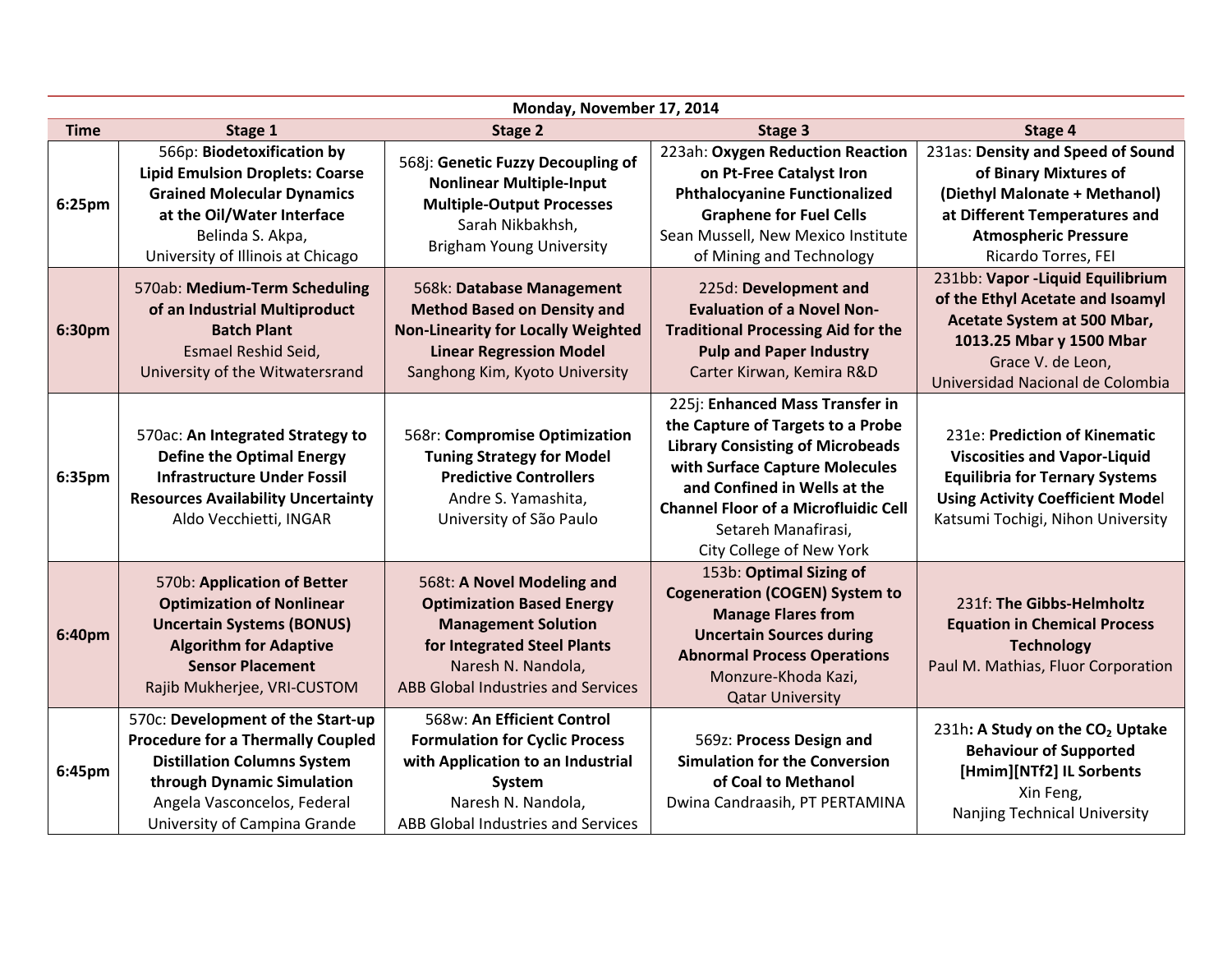|             | Monday, November 17, 2014                                                                                                                                                                                        |                                                                                                                                                                                         |                                                                                                                                                                                                                                                                                     |                                                                                                                                                                                               |
|-------------|------------------------------------------------------------------------------------------------------------------------------------------------------------------------------------------------------------------|-----------------------------------------------------------------------------------------------------------------------------------------------------------------------------------------|-------------------------------------------------------------------------------------------------------------------------------------------------------------------------------------------------------------------------------------------------------------------------------------|-----------------------------------------------------------------------------------------------------------------------------------------------------------------------------------------------|
| <b>Time</b> | Stage 1                                                                                                                                                                                                          | <b>Stage 2</b>                                                                                                                                                                          | Stage 3                                                                                                                                                                                                                                                                             | Stage 4                                                                                                                                                                                       |
| 6:25pm      | 566p: Biodetoxification by<br><b>Lipid Emulsion Droplets: Coarse</b><br><b>Grained Molecular Dynamics</b><br>at the Oil/Water Interface<br>Belinda S. Akpa,<br>University of Illinois at Chicago                 | 568j: Genetic Fuzzy Decoupling of<br><b>Nonlinear Multiple-Input</b><br><b>Multiple-Output Processes</b><br>Sarah Nikbakhsh,<br><b>Brigham Young University</b>                         | 223ah: Oxygen Reduction Reaction<br>on Pt-Free Catalyst Iron<br><b>Phthalocyanine Functionalized</b><br><b>Graphene for Fuel Cells</b><br>Sean Mussell, New Mexico Institute<br>of Mining and Technology                                                                            | 231as: Density and Speed of Sound<br>of Binary Mixtures of<br>(Diethyl Malonate + Methanol)<br>at Different Temperatures and<br><b>Atmospheric Pressure</b><br>Ricardo Torres, FEI            |
| 6:30pm      | 570ab: Medium-Term Scheduling<br>of an Industrial Multiproduct<br><b>Batch Plant</b><br>Esmael Reshid Seid,<br>University of the Witwatersrand                                                                   | 568k: Database Management<br><b>Method Based on Density and</b><br><b>Non-Linearity for Locally Weighted</b><br><b>Linear Regression Model</b><br>Sanghong Kim, Kyoto University        | 225d: Development and<br><b>Evaluation of a Novel Non-</b><br><b>Traditional Processing Aid for the</b><br><b>Pulp and Paper Industry</b><br>Carter Kirwan, Kemira R&D                                                                                                              | 231bb: Vapor -Liquid Equilibrium<br>of the Ethyl Acetate and Isoamyl<br>Acetate System at 500 Mbar,<br>1013.25 Mbar y 1500 Mbar<br>Grace V. de Leon,<br>Universidad Nacional de Colombia      |
| 6:35pm      | 570ac: An Integrated Strategy to<br><b>Define the Optimal Energy</b><br><b>Infrastructure Under Fossil</b><br><b>Resources Availability Uncertainty</b><br>Aldo Vecchietti, INGAR                                | 568r: Compromise Optimization<br><b>Tuning Strategy for Model</b><br><b>Predictive Controllers</b><br>Andre S. Yamashita,<br>University of São Paulo                                    | 225j: Enhanced Mass Transfer in<br>the Capture of Targets to a Probe<br><b>Library Consisting of Microbeads</b><br>with Surface Capture Molecules<br>and Confined in Wells at the<br><b>Channel Floor of a Microfluidic Cell</b><br>Setareh Manafirasi,<br>City College of New York | 231e: Prediction of Kinematic<br><b>Viscosities and Vapor-Liquid</b><br><b>Equilibria for Ternary Systems</b><br><b>Using Activity Coefficient Model</b><br>Katsumi Tochigi, Nihon University |
| 6:40pm      | 570b: Application of Better<br><b>Optimization of Nonlinear</b><br><b>Uncertain Systems (BONUS)</b><br><b>Algorithm for Adaptive</b><br><b>Sensor Placement</b><br>Rajib Mukherjee, VRI-CUSTOM                   | 568t: A Novel Modeling and<br><b>Optimization Based Energy</b><br><b>Management Solution</b><br>for Integrated Steel Plants<br>Naresh N. Nandola,<br>ABB Global Industries and Services | 153b: Optimal Sizing of<br><b>Cogeneration (COGEN) System to</b><br><b>Manage Flares from</b><br><b>Uncertain Sources during</b><br><b>Abnormal Process Operations</b><br>Monzure-Khoda Kazi,<br><b>Qatar University</b>                                                            | 231f: The Gibbs-Helmholtz<br><b>Equation in Chemical Process</b><br><b>Technology</b><br>Paul M. Mathias, Fluor Corporation                                                                   |
| 6:45pm      | 570c: Development of the Start-up<br><b>Procedure for a Thermally Coupled</b><br><b>Distillation Columns System</b><br>through Dynamic Simulation<br>Angela Vasconcelos, Federal<br>University of Campina Grande | 568w: An Efficient Control<br><b>Formulation for Cyclic Process</b><br>with Application to an Industrial<br>System<br>Naresh N. Nandola,<br>ABB Global Industries and Services          | 569z: Process Design and<br><b>Simulation for the Conversion</b><br>of Coal to Methanol<br>Dwina Candraasih, PT PERTAMINA                                                                                                                                                           | 231h: A Study on the CO <sub>2</sub> Uptake<br><b>Behaviour of Supported</b><br>[Hmim][NTf2] IL Sorbents<br>Xin Feng,<br>Nanjing Technical University                                         |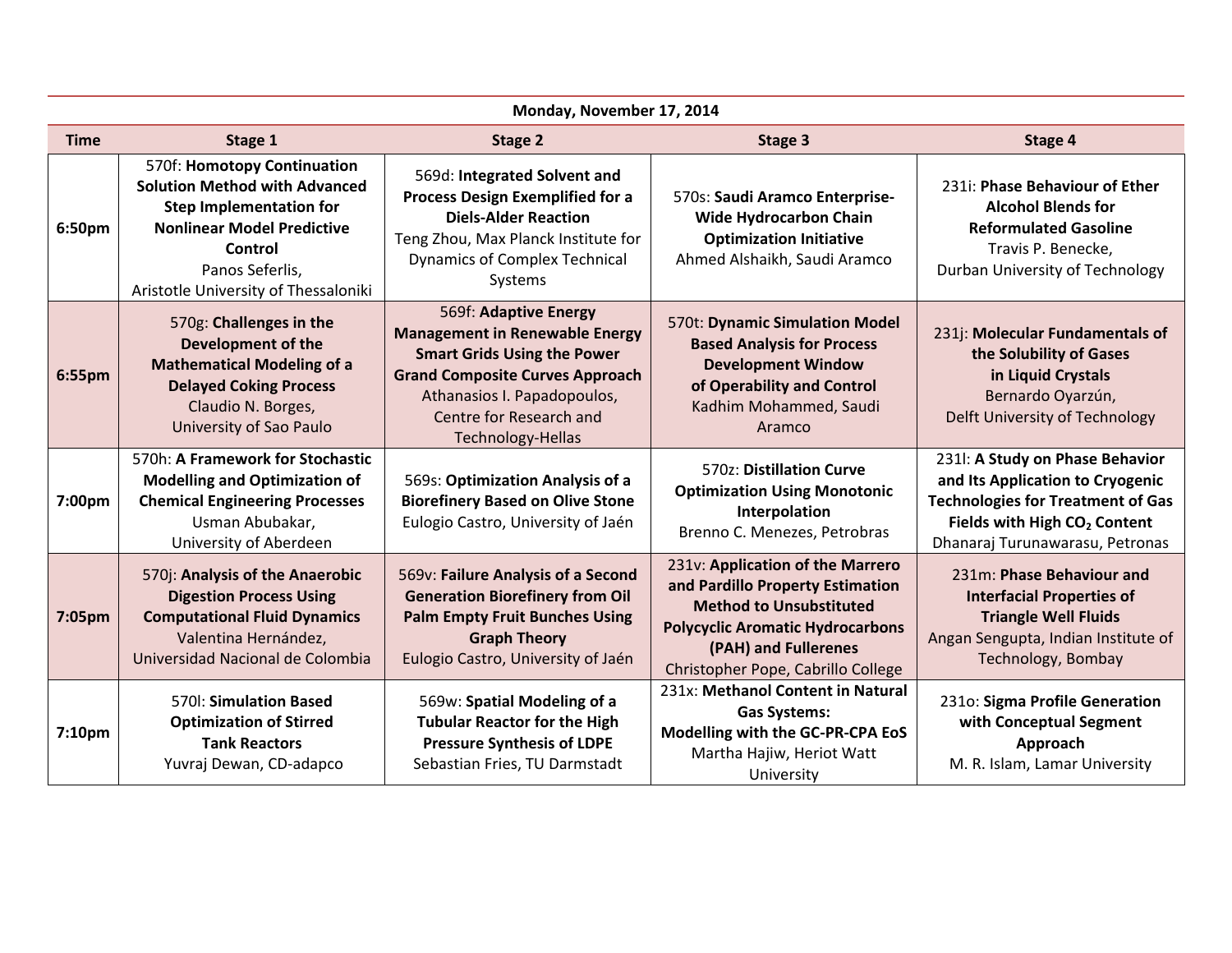| Monday, November 17, 2014 |                                                                                                                                                                                                                  |                                                                                                                                                                                                                               |                                                                                                                                                                                                                 |                                                                                                                                                                                                |
|---------------------------|------------------------------------------------------------------------------------------------------------------------------------------------------------------------------------------------------------------|-------------------------------------------------------------------------------------------------------------------------------------------------------------------------------------------------------------------------------|-----------------------------------------------------------------------------------------------------------------------------------------------------------------------------------------------------------------|------------------------------------------------------------------------------------------------------------------------------------------------------------------------------------------------|
| <b>Time</b>               | Stage 1                                                                                                                                                                                                          | Stage 2                                                                                                                                                                                                                       | Stage 3                                                                                                                                                                                                         | Stage 4                                                                                                                                                                                        |
| 6:50pm                    | 570f: Homotopy Continuation<br><b>Solution Method with Advanced</b><br><b>Step Implementation for</b><br><b>Nonlinear Model Predictive</b><br>Control<br>Panos Seferlis,<br>Aristotle University of Thessaloniki | 569d: Integrated Solvent and<br><b>Process Design Exemplified for a</b><br><b>Diels-Alder Reaction</b><br>Teng Zhou, Max Planck Institute for<br><b>Dynamics of Complex Technical</b><br>Systems                              | 570s: Saudi Aramco Enterprise-<br>Wide Hydrocarbon Chain<br><b>Optimization Initiative</b><br>Ahmed Alshaikh, Saudi Aramco                                                                                      | 231i: Phase Behaviour of Ether<br><b>Alcohol Blends for</b><br><b>Reformulated Gasoline</b><br>Travis P. Benecke,<br>Durban University of Technology                                           |
| 6:55pm                    | 570g: Challenges in the<br><b>Development of the</b><br><b>Mathematical Modeling of a</b><br><b>Delayed Coking Process</b><br>Claudio N. Borges,<br>University of Sao Paulo                                      | 569f: Adaptive Energy<br><b>Management in Renewable Energy</b><br><b>Smart Grids Using the Power</b><br><b>Grand Composite Curves Approach</b><br>Athanasios I. Papadopoulos,<br>Centre for Research and<br>Technology-Hellas | 570t: Dynamic Simulation Model<br><b>Based Analysis for Process</b><br><b>Development Window</b><br>of Operability and Control<br>Kadhim Mohammed, Saudi<br>Aramco                                              | 231j: Molecular Fundamentals of<br>the Solubility of Gases<br>in Liquid Crystals<br>Bernardo Oyarzún,<br>Delft University of Technology                                                        |
| 7:00pm                    | 570h: A Framework for Stochastic<br><b>Modelling and Optimization of</b><br><b>Chemical Engineering Processes</b><br>Usman Abubakar,<br>University of Aberdeen                                                   | 569s: Optimization Analysis of a<br><b>Biorefinery Based on Olive Stone</b><br>Eulogio Castro, University of Jaén                                                                                                             | 570z: Distillation Curve<br><b>Optimization Using Monotonic</b><br>Interpolation<br>Brenno C. Menezes, Petrobras                                                                                                | 2311: A Study on Phase Behavior<br>and Its Application to Cryogenic<br><b>Technologies for Treatment of Gas</b><br>Fields with High CO <sub>2</sub> Content<br>Dhanaraj Turunawarasu, Petronas |
| 7:05pm                    | 570j: Analysis of the Anaerobic<br><b>Digestion Process Using</b><br><b>Computational Fluid Dynamics</b><br>Valentina Hernández,<br>Universidad Nacional de Colombia                                             | 569v: Failure Analysis of a Second<br><b>Generation Biorefinery from Oil</b><br><b>Palm Empty Fruit Bunches Using</b><br><b>Graph Theory</b><br>Eulogio Castro, University of Jaén                                            | 231v: Application of the Marrero<br>and Pardillo Property Estimation<br><b>Method to Unsubstituted</b><br><b>Polycyclic Aromatic Hydrocarbons</b><br>(PAH) and Fullerenes<br>Christopher Pope, Cabrillo College | 231m: Phase Behaviour and<br><b>Interfacial Properties of</b><br><b>Triangle Well Fluids</b><br>Angan Sengupta, Indian Institute of<br>Technology, Bombay                                      |
| 7:10pm                    | 570 : Simulation Based<br><b>Optimization of Stirred</b><br><b>Tank Reactors</b><br>Yuvraj Dewan, CD-adapco                                                                                                      | 569w: Spatial Modeling of a<br><b>Tubular Reactor for the High</b><br><b>Pressure Synthesis of LDPE</b><br>Sebastian Fries, TU Darmstadt                                                                                      | 231x: Methanol Content in Natural<br><b>Gas Systems:</b><br>Modelling with the GC-PR-CPA EoS<br>Martha Hajiw, Heriot Watt<br>University                                                                         | 231o: Sigma Profile Generation<br>with Conceptual Segment<br>Approach<br>M. R. Islam, Lamar University                                                                                         |